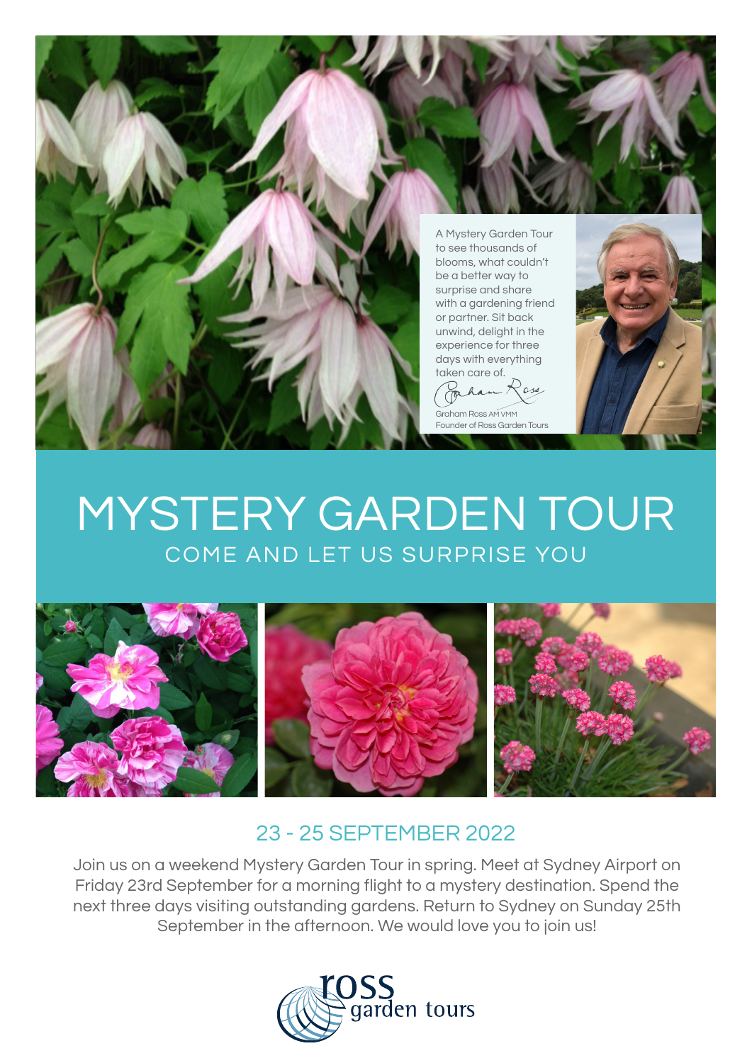

 $\alpha$  $\sim$ 

Graham Ross AM VMN Founder of Ross Garden Tours



## MYSTERY GARDEN TOUR COME AND LET US SURPRISE YOU



## 23 - 25 SEPTEMBER 2022

Join us on a weekend Mystery Garden Tour in spring. Meet at Sydney Airport on Friday 23rd September for a morning flight to a mystery destination. Spend the next three days visiting outstanding gardens. Return to Sydney on Sunday 25th September in the afternoon. We would love you to join us!